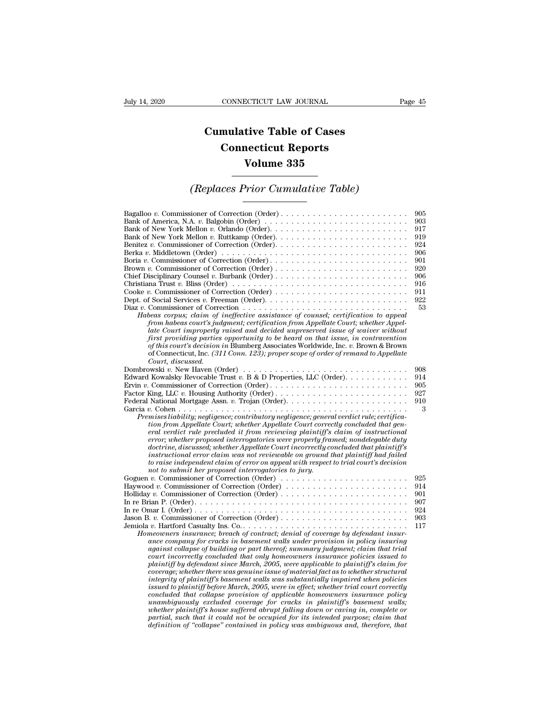## **CONNECTICUT LAW JOURNAL**<br> **Cumulative Table of Cases<br>
Connecticut Reports CONNECTICUT LAW JOURNAL**<br> **CONNECTICUT LAW JOURNAL**<br> **CONNECTICUT Reports**<br> **CONNECTICUT Reports**<br> **CONNECTIC REPORTS ECTICUT LAW JOURNAL<br>
tive Table of Cases<br>
necticut Reports<br>
Volume 335<br>
Prior Cumulative Table)** *Cumulative Table of Cases<br>
Connecticut Reports<br>
Volume 335<br>
<i>(Replaces Prior Cumulative Table)*

| Volume 335                                                                                                                                                                                                                                                                                                                                                                                                                                                                                                                                                                                                                                                                                                                                                                                                                                                                                                                                                                                                                                                                                                                                                                                                                                                                                                                                                                               |                                                                                        |
|------------------------------------------------------------------------------------------------------------------------------------------------------------------------------------------------------------------------------------------------------------------------------------------------------------------------------------------------------------------------------------------------------------------------------------------------------------------------------------------------------------------------------------------------------------------------------------------------------------------------------------------------------------------------------------------------------------------------------------------------------------------------------------------------------------------------------------------------------------------------------------------------------------------------------------------------------------------------------------------------------------------------------------------------------------------------------------------------------------------------------------------------------------------------------------------------------------------------------------------------------------------------------------------------------------------------------------------------------------------------------------------|----------------------------------------------------------------------------------------|
| (Replaces Prior Cumulative Table)                                                                                                                                                                                                                                                                                                                                                                                                                                                                                                                                                                                                                                                                                                                                                                                                                                                                                                                                                                                                                                                                                                                                                                                                                                                                                                                                                        |                                                                                        |
| Bank of America, N.A. v. Balgobin (Order) $\dots \dots \dots \dots \dots \dots \dots \dots \dots \dots \dots$<br>Berka v. Middletown (Order) $\ldots \ldots \ldots \ldots \ldots \ldots \ldots \ldots \ldots \ldots \ldots \ldots \ldots$<br>Christiana Trust v. Bliss (Order) $\ldots \ldots \ldots \ldots \ldots \ldots \ldots \ldots \ldots \ldots \ldots$<br>Cooke v. Commissioner of Correction (Order)<br>Diaz v. Commissioner of Correction $\dots \dots \dots \dots \dots \dots \dots \dots \dots \dots \dots \dots \dots$<br>Habeas corpus; claim of ineffective assistance of counsel; certification to appeal<br>from habeas court's judgment; certification from Appellate Court; whether Appel-<br>late Court improperly raised and decided unpreserved issue of waiver without<br>first providing parties opportunity to be heard on that issue, in contravention<br>of this court's decision in Blumberg Associates Worldwide, Inc. v. Brown & Brown<br>of Connecticut, Inc. (311 Conn. 123); proper scope of order of remand to Appellate                                                                                                                                                                                                                                                                                                                                | 905<br>903<br>917<br>919<br>924<br>906<br>901<br>920<br>906<br>916<br>911<br>922<br>53 |
| Court, discussed.<br>Dombrowski v. New Haven (Order) $\dots \dots \dots \dots \dots \dots \dots \dots \dots \dots \dots \dots \dots$<br>Edward Kowalsky Revocable Trust v. B & D Properties, LLC (Order).<br>Factor King, LLC v. Housing Authority (Order)<br>Federal National Mortgage Assn. v. Trojan (Order)<br>Premises liability; negligence; contributory negligence; general verdict rule; certifica-<br>tion from Appellate Court; whether Appellate Court correctly concluded that gen-<br>eral verdict rule precluded it from reviewing plaintiff's claim of instructional<br>error; whether proposed interrogatories were properly framed; nondelegable duty<br>doctrine, discussed; whether Appellate Court incorrectly concluded that plaintiff's<br>instructional error claim was not reviewable on ground that plaintiff had failed<br>to raise independent claim of error on appeal with respect to trial court's decision                                                                                                                                                                                                                                                                                                                                                                                                                                               | 908<br>914<br>905<br>927<br>910<br>3                                                   |
| not to submit her proposed interrogatories to jury.<br>Goguen v. Commissioner of Correction (Order) $\dots \dots \dots \dots \dots \dots \dots \dots \dots$<br>Haywood v. Commissioner of Correction (Order)<br>Jason B. v. Commissioner of Correction (Order)<br>Homeowners insurance; breach of contract; denial of coverage by defendant insur-<br>ance company for cracks in basement walls under provision in policy insuring<br>against collapse of building or part thereof; summary judgment; claim that trial<br>court incorrectly concluded that only homeowners insurance policies issued to<br>plaintiff by defendant since March, 2005, were applicable to plaintiff's claim for<br>coverage; whether there was genuine issue of material fact as to whether structural<br>integrity of plaintiff's basement walls was substantially impaired when policies<br>issued to plaintiff before March, 2005, were in effect; whether trial court correctly<br>concluded that collapse provision of applicable homeowners insurance policy<br>unambiguously excluded coverage for cracks in plaintiff's basement walls;<br>whether plaintiff's house suffered abrupt falling down or caving in, complete or<br>partial, such that it could not be occupied for its intended purpose; claim that<br>definition of "collapse" contained in policy was ambiguous and, therefore, that | 925<br>914<br>901<br>907<br>924<br>903<br>117                                          |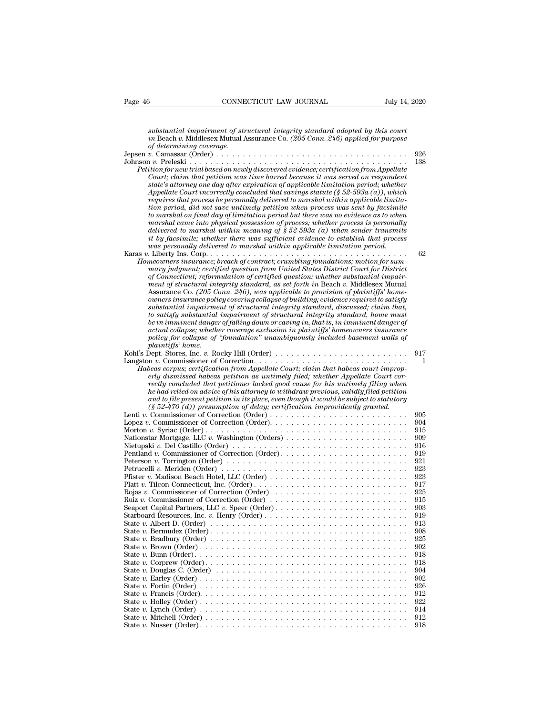| Page 46                  | CONNECTICUT LAW JOURNAL                                                                                                                                                                                                                                                                                                                                                                                                                                                                                                                                                                                                                                                                                                                                                                                                                                                                                                                             | July 14, 2020 |
|--------------------------|-----------------------------------------------------------------------------------------------------------------------------------------------------------------------------------------------------------------------------------------------------------------------------------------------------------------------------------------------------------------------------------------------------------------------------------------------------------------------------------------------------------------------------------------------------------------------------------------------------------------------------------------------------------------------------------------------------------------------------------------------------------------------------------------------------------------------------------------------------------------------------------------------------------------------------------------------------|---------------|
|                          |                                                                                                                                                                                                                                                                                                                                                                                                                                                                                                                                                                                                                                                                                                                                                                                                                                                                                                                                                     |               |
| of determining coverage. | substantial impairment of structural integrity standard adopted by this court<br>in Beach v. Middlesex Mutual Assurance Co. (205 Conn. 246) applied for purpose                                                                                                                                                                                                                                                                                                                                                                                                                                                                                                                                                                                                                                                                                                                                                                                     |               |
|                          |                                                                                                                                                                                                                                                                                                                                                                                                                                                                                                                                                                                                                                                                                                                                                                                                                                                                                                                                                     | 926           |
|                          | Petition for new trial based on newly discovered evidence; certification from Appellate<br>Court; claim that petition was time barred because it was served on respondent<br>state's attorney one day after expiration of applicable limitation period; whether<br>Appellate Court incorrectly concluded that savings statute (§ 52-593a (a)), which<br>requires that process be personally delivered to marshal within applicable limita-<br>tion period, did not save untimely petition when process was sent by facsimile<br>to marshal on final day of limitation period but there was no evidence as to when<br>marshal came into physical possession of process; whether process is personally<br>delivered to marshal within meaning of $\hat{\S}$ 52-593a (a) when sender transmits<br>it by facsimile; whether there was sufficient evidence to establish that process                                                                     | 138           |
|                          | was personally delivered to marshal within applicable limitation period.                                                                                                                                                                                                                                                                                                                                                                                                                                                                                                                                                                                                                                                                                                                                                                                                                                                                            | 62            |
|                          | Homeowners insurance; breach of contract; crumbling foundations; motion for sum-<br>mary judgment; certified question from United States District Court for District<br>of Connecticut; reformulation of certified question; whether substantial impair-<br>ment of structural integrity standard, as set forth in Beach v. Middlesex Mutual<br>Assurance Co. (205 Conn. 246), was applicable to provision of plaintiffs' home-<br>owners insurance policy covering collapse of building; evidence required to satisfy<br>substantial impairment of structural integrity standard, discussed; claim that,<br>to satisfy substantial impairment of structural integrity standard, home must<br>be in imminent danger of falling down or caving in, that is, in imminent danger of<br>actual collapse; whether coverage exclusion in plaintiffs' homeowners insurance<br>policy for collapse of "foundation" unambiguously included basement walls of |               |
| <i>plaintiffs' home.</i> |                                                                                                                                                                                                                                                                                                                                                                                                                                                                                                                                                                                                                                                                                                                                                                                                                                                                                                                                                     |               |
|                          |                                                                                                                                                                                                                                                                                                                                                                                                                                                                                                                                                                                                                                                                                                                                                                                                                                                                                                                                                     | 917           |
|                          | Habeas corpus; certification from Appellate Court; claim that habeas court improp-<br>erly dismissed habeas petition as untimely filed; whether Appellate Court cor-<br>rectly concluded that petitioner lacked good cause for his untimely filing when<br>he had relied on advice of his attorney to withdraw previous, validly filed petition<br>and to file present petition in its place, even though it would be subject to statutory<br>$(\S 52-470)$ (d)) presumption of delay; certification improvidently granted.                                                                                                                                                                                                                                                                                                                                                                                                                         | 1             |
|                          | Lenti v. Commissioner of Correction (Order)                                                                                                                                                                                                                                                                                                                                                                                                                                                                                                                                                                                                                                                                                                                                                                                                                                                                                                         | 905           |
|                          |                                                                                                                                                                                                                                                                                                                                                                                                                                                                                                                                                                                                                                                                                                                                                                                                                                                                                                                                                     | 904<br>915    |
|                          |                                                                                                                                                                                                                                                                                                                                                                                                                                                                                                                                                                                                                                                                                                                                                                                                                                                                                                                                                     | 909<br>916    |
|                          | Pentland v. Commissioner of Correction (Order)                                                                                                                                                                                                                                                                                                                                                                                                                                                                                                                                                                                                                                                                                                                                                                                                                                                                                                      | 919           |
|                          |                                                                                                                                                                                                                                                                                                                                                                                                                                                                                                                                                                                                                                                                                                                                                                                                                                                                                                                                                     | 921<br>923    |
|                          |                                                                                                                                                                                                                                                                                                                                                                                                                                                                                                                                                                                                                                                                                                                                                                                                                                                                                                                                                     | 923           |
|                          |                                                                                                                                                                                                                                                                                                                                                                                                                                                                                                                                                                                                                                                                                                                                                                                                                                                                                                                                                     | 917<br>925    |
|                          | Ruiz v. Commissioner of Correction (Order) $\dots \dots \dots \dots \dots \dots \dots \dots \dots \dots$                                                                                                                                                                                                                                                                                                                                                                                                                                                                                                                                                                                                                                                                                                                                                                                                                                            | 915           |
|                          |                                                                                                                                                                                                                                                                                                                                                                                                                                                                                                                                                                                                                                                                                                                                                                                                                                                                                                                                                     | 903<br>919    |
|                          |                                                                                                                                                                                                                                                                                                                                                                                                                                                                                                                                                                                                                                                                                                                                                                                                                                                                                                                                                     | 913           |
|                          |                                                                                                                                                                                                                                                                                                                                                                                                                                                                                                                                                                                                                                                                                                                                                                                                                                                                                                                                                     | 908<br>925    |
|                          |                                                                                                                                                                                                                                                                                                                                                                                                                                                                                                                                                                                                                                                                                                                                                                                                                                                                                                                                                     | 902           |
|                          |                                                                                                                                                                                                                                                                                                                                                                                                                                                                                                                                                                                                                                                                                                                                                                                                                                                                                                                                                     | 918<br>918    |
|                          |                                                                                                                                                                                                                                                                                                                                                                                                                                                                                                                                                                                                                                                                                                                                                                                                                                                                                                                                                     | 904           |
|                          |                                                                                                                                                                                                                                                                                                                                                                                                                                                                                                                                                                                                                                                                                                                                                                                                                                                                                                                                                     | 902<br>926    |
|                          |                                                                                                                                                                                                                                                                                                                                                                                                                                                                                                                                                                                                                                                                                                                                                                                                                                                                                                                                                     | 912           |
|                          |                                                                                                                                                                                                                                                                                                                                                                                                                                                                                                                                                                                                                                                                                                                                                                                                                                                                                                                                                     | 922           |
|                          |                                                                                                                                                                                                                                                                                                                                                                                                                                                                                                                                                                                                                                                                                                                                                                                                                                                                                                                                                     | 914<br>912    |